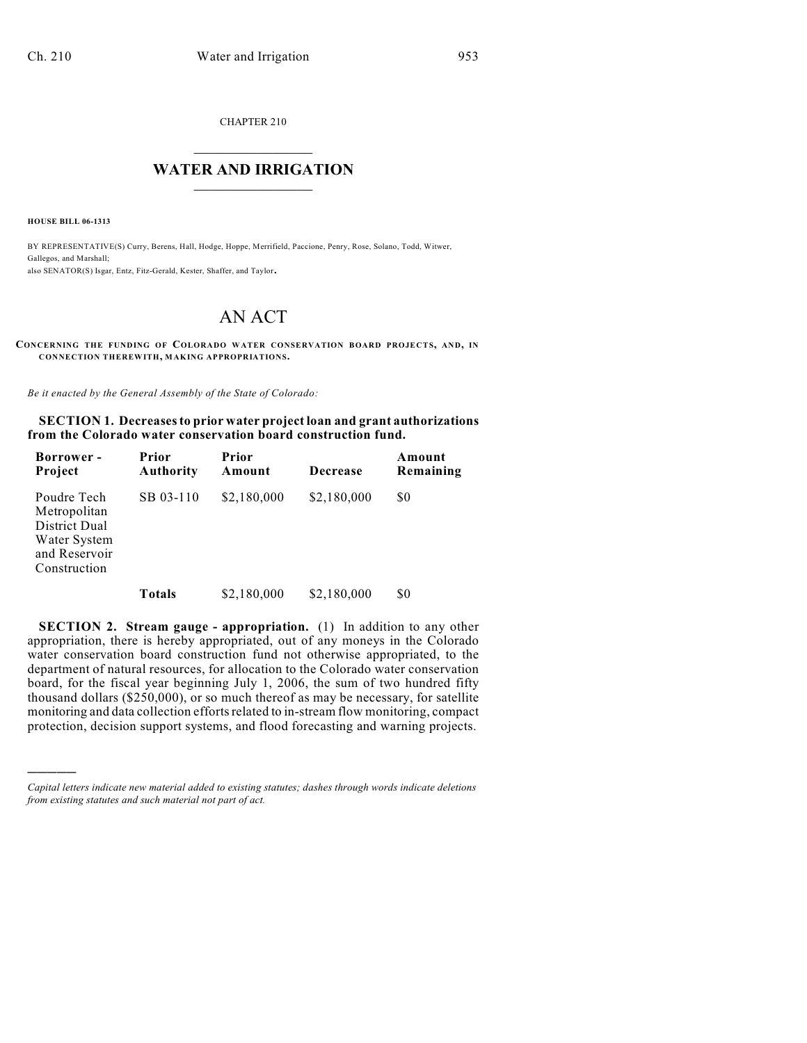CHAPTER 210

## $\mathcal{L}_\text{max}$  . The set of the set of the set of the set of the set of the set of the set of the set of the set of the set of the set of the set of the set of the set of the set of the set of the set of the set of the set **WATER AND IRRIGATION**  $\_$   $\_$

**HOUSE BILL 06-1313**

)))))

BY REPRESENTATIVE(S) Curry, Berens, Hall, Hodge, Hoppe, Merrifield, Paccione, Penry, Rose, Solano, Todd, Witwer, Gallegos, and Marshall; also SENATOR(S) Isgar, Entz, Fitz-Gerald, Kester, Shaffer, and Taylor.

## AN ACT

**CONCERNING THE FUNDING OF COLORADO WATER CONSERVATION BOARD PROJECTS, AND, IN CONNECTION THEREWITH, MAKING APPROPRIATIONS.**

*Be it enacted by the General Assembly of the State of Colorado:*

**SECTION 1. Decreasesto prior water project loan and grant authorizations from the Colorado water conservation board construction fund.**

| <b>Borrower</b> -<br>Project                                                                  | Prior<br><b>Authority</b> | Prior<br>Amount | Decrease    | Amount<br>Remaining |
|-----------------------------------------------------------------------------------------------|---------------------------|-----------------|-------------|---------------------|
| Poudre Tech<br>Metropolitan<br>District Dual<br>Water System<br>and Reservoir<br>Construction | SB 03-110                 | \$2,180,000     | \$2,180,000 | \$0                 |
|                                                                                               | Totals                    | \$2,180,000     | \$2,180,000 | \$0                 |

**SECTION 2. Stream gauge - appropriation.** (1) In addition to any other appropriation, there is hereby appropriated, out of any moneys in the Colorado water conservation board construction fund not otherwise appropriated, to the department of natural resources, for allocation to the Colorado water conservation board, for the fiscal year beginning July 1, 2006, the sum of two hundred fifty thousand dollars (\$250,000), or so much thereof as may be necessary, for satellite monitoring and data collection efforts related to in-stream flow monitoring, compact protection, decision support systems, and flood forecasting and warning projects.

*Capital letters indicate new material added to existing statutes; dashes through words indicate deletions from existing statutes and such material not part of act.*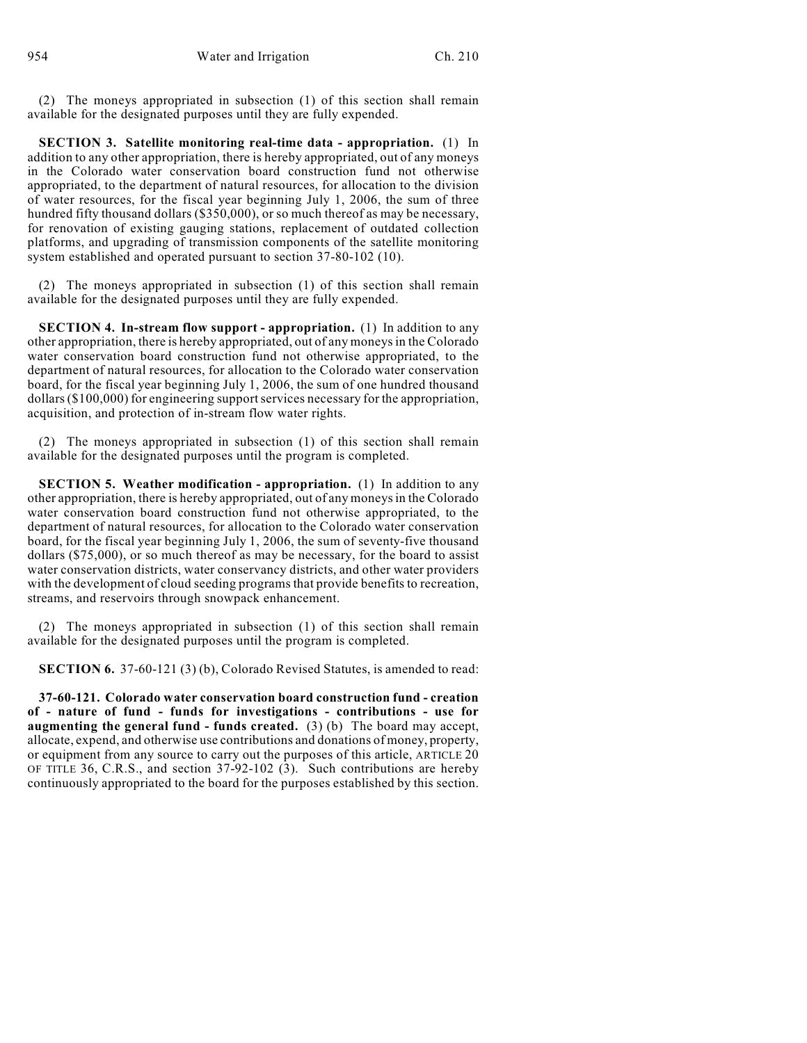(2) The moneys appropriated in subsection (1) of this section shall remain available for the designated purposes until they are fully expended.

**SECTION 3. Satellite monitoring real-time data - appropriation.** (1) In addition to any other appropriation, there is hereby appropriated, out of any moneys in the Colorado water conservation board construction fund not otherwise appropriated, to the department of natural resources, for allocation to the division of water resources, for the fiscal year beginning July 1, 2006, the sum of three hundred fifty thousand dollars (\$350,000), or so much thereof as may be necessary, for renovation of existing gauging stations, replacement of outdated collection platforms, and upgrading of transmission components of the satellite monitoring system established and operated pursuant to section 37-80-102 (10).

(2) The moneys appropriated in subsection (1) of this section shall remain available for the designated purposes until they are fully expended.

**SECTION 4. In-stream flow support - appropriation.** (1) In addition to any other appropriation, there is hereby appropriated, out of any moneys in the Colorado water conservation board construction fund not otherwise appropriated, to the department of natural resources, for allocation to the Colorado water conservation board, for the fiscal year beginning July 1, 2006, the sum of one hundred thousand dollars (\$100,000) for engineering support services necessary for the appropriation, acquisition, and protection of in-stream flow water rights.

(2) The moneys appropriated in subsection (1) of this section shall remain available for the designated purposes until the program is completed.

**SECTION 5. Weather modification - appropriation.** (1) In addition to any other appropriation, there is hereby appropriated, out of any moneys in the Colorado water conservation board construction fund not otherwise appropriated, to the department of natural resources, for allocation to the Colorado water conservation board, for the fiscal year beginning July 1, 2006, the sum of seventy-five thousand dollars (\$75,000), or so much thereof as may be necessary, for the board to assist water conservation districts, water conservancy districts, and other water providers with the development of cloud seeding programs that provide benefits to recreation, streams, and reservoirs through snowpack enhancement.

(2) The moneys appropriated in subsection (1) of this section shall remain available for the designated purposes until the program is completed.

**SECTION 6.** 37-60-121 (3) (b), Colorado Revised Statutes, is amended to read:

**37-60-121. Colorado water conservation board construction fund - creation of - nature of fund - funds for investigations - contributions - use for augmenting the general fund - funds created.** (3) (b) The board may accept, allocate, expend, and otherwise use contributions and donations of money, property, or equipment from any source to carry out the purposes of this article, ARTICLE 20 OF TITLE 36, C.R.S., and section 37-92-102 (3). Such contributions are hereby continuously appropriated to the board for the purposes established by this section.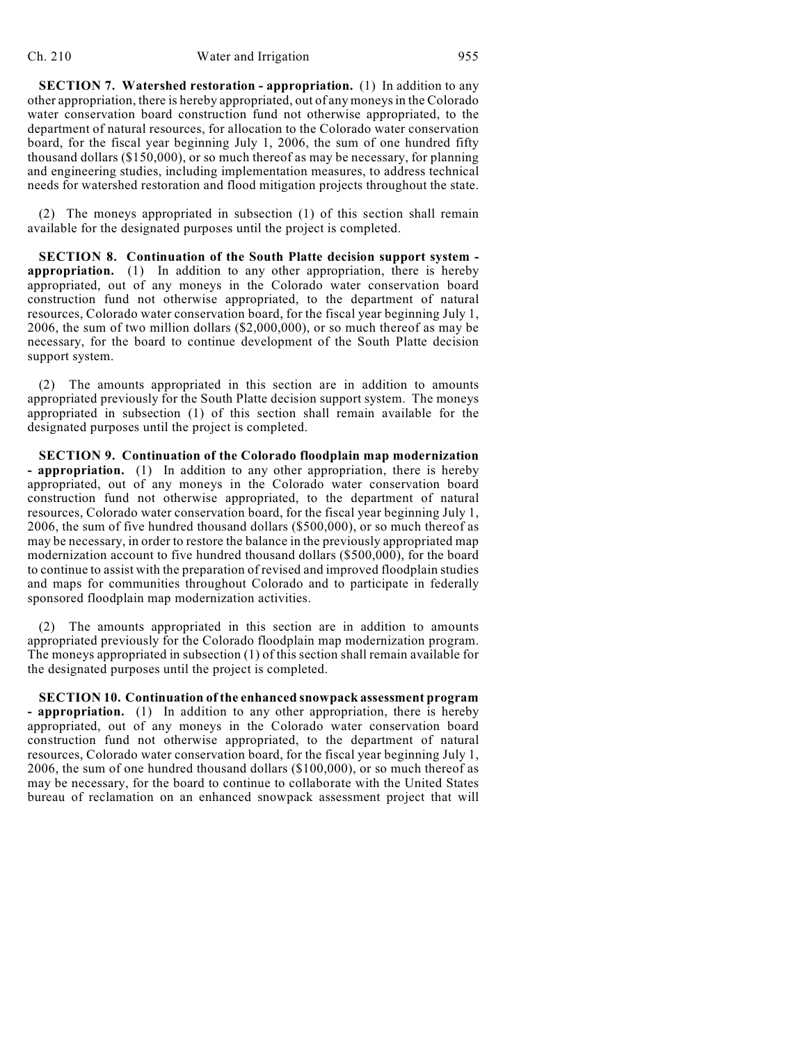**SECTION 7. Watershed restoration - appropriation.** (1) In addition to any other appropriation, there is hereby appropriated, out of any moneys in the Colorado water conservation board construction fund not otherwise appropriated, to the department of natural resources, for allocation to the Colorado water conservation board, for the fiscal year beginning July 1, 2006, the sum of one hundred fifty thousand dollars (\$150,000), or so much thereof as may be necessary, for planning and engineering studies, including implementation measures, to address technical needs for watershed restoration and flood mitigation projects throughout the state.

(2) The moneys appropriated in subsection (1) of this section shall remain available for the designated purposes until the project is completed.

**SECTION 8. Continuation of the South Platte decision support system appropriation.** (1) In addition to any other appropriation, there is hereby appropriated, out of any moneys in the Colorado water conservation board construction fund not otherwise appropriated, to the department of natural resources, Colorado water conservation board, for the fiscal year beginning July 1, 2006, the sum of two million dollars (\$2,000,000), or so much thereof as may be necessary, for the board to continue development of the South Platte decision support system.

(2) The amounts appropriated in this section are in addition to amounts appropriated previously for the South Platte decision support system. The moneys appropriated in subsection (1) of this section shall remain available for the designated purposes until the project is completed.

**SECTION 9. Continuation of the Colorado floodplain map modernization - appropriation.** (1) In addition to any other appropriation, there is hereby appropriated, out of any moneys in the Colorado water conservation board construction fund not otherwise appropriated, to the department of natural resources, Colorado water conservation board, for the fiscal year beginning July 1, 2006, the sum of five hundred thousand dollars (\$500,000), or so much thereof as may be necessary, in order to restore the balance in the previously appropriated map modernization account to five hundred thousand dollars (\$500,000), for the board to continue to assist with the preparation of revised and improved floodplain studies and maps for communities throughout Colorado and to participate in federally sponsored floodplain map modernization activities.

(2) The amounts appropriated in this section are in addition to amounts appropriated previously for the Colorado floodplain map modernization program. The moneys appropriated in subsection (1) of this section shall remain available for the designated purposes until the project is completed.

**SECTION 10. Continuation of the enhanced snowpack assessment program - appropriation.** (1) In addition to any other appropriation, there is hereby appropriated, out of any moneys in the Colorado water conservation board construction fund not otherwise appropriated, to the department of natural resources, Colorado water conservation board, for the fiscal year beginning July 1, 2006, the sum of one hundred thousand dollars (\$100,000), or so much thereof as may be necessary, for the board to continue to collaborate with the United States bureau of reclamation on an enhanced snowpack assessment project that will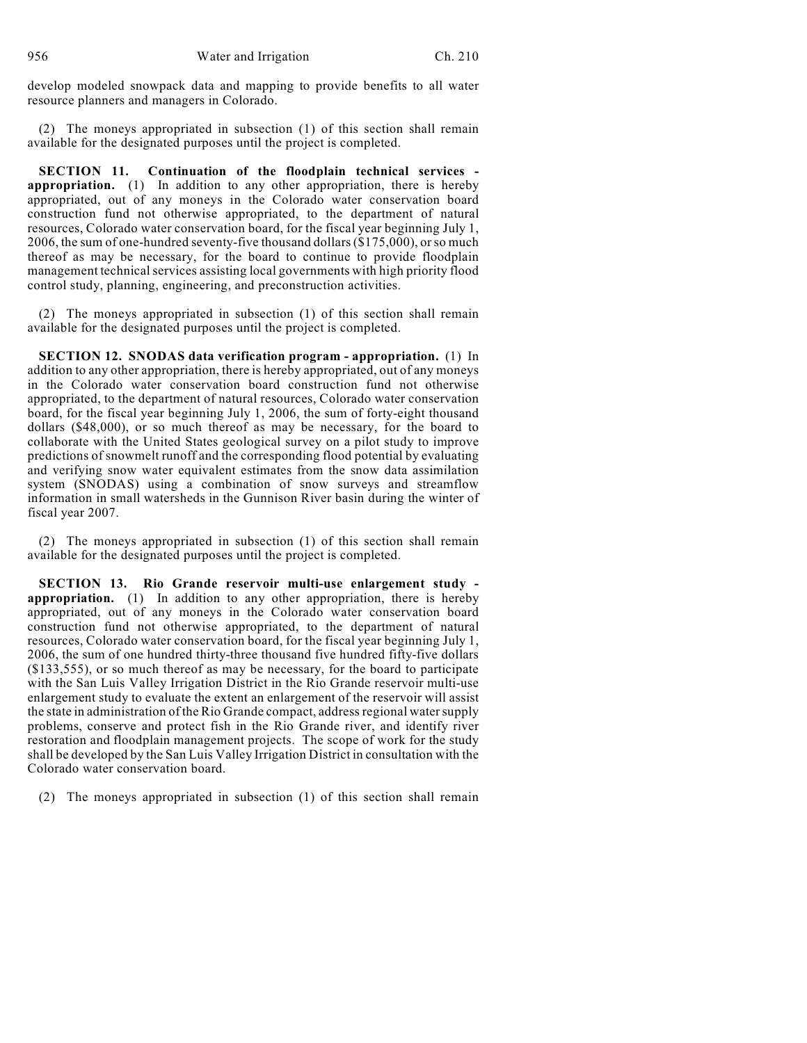develop modeled snowpack data and mapping to provide benefits to all water resource planners and managers in Colorado.

(2) The moneys appropriated in subsection (1) of this section shall remain available for the designated purposes until the project is completed.

**SECTION 11. Continuation of the floodplain technical services appropriation.** (1) In addition to any other appropriation, there is hereby appropriated, out of any moneys in the Colorado water conservation board construction fund not otherwise appropriated, to the department of natural resources, Colorado water conservation board, for the fiscal year beginning July 1, 2006, the sum of one-hundred seventy-five thousand dollars (\$175,000), orso much thereof as may be necessary, for the board to continue to provide floodplain management technical services assisting local governments with high priority flood control study, planning, engineering, and preconstruction activities.

(2) The moneys appropriated in subsection (1) of this section shall remain available for the designated purposes until the project is completed.

**SECTION 12. SNODAS data verification program - appropriation.** (1) In addition to any other appropriation, there is hereby appropriated, out of any moneys in the Colorado water conservation board construction fund not otherwise appropriated, to the department of natural resources, Colorado water conservation board, for the fiscal year beginning July 1, 2006, the sum of forty-eight thousand dollars (\$48,000), or so much thereof as may be necessary, for the board to collaborate with the United States geological survey on a pilot study to improve predictions of snowmelt runoff and the corresponding flood potential by evaluating and verifying snow water equivalent estimates from the snow data assimilation system (SNODAS) using a combination of snow surveys and streamflow information in small watersheds in the Gunnison River basin during the winter of fiscal year 2007.

(2) The moneys appropriated in subsection (1) of this section shall remain available for the designated purposes until the project is completed.

**SECTION 13. Rio Grande reservoir multi-use enlargement study appropriation.** (1) In addition to any other appropriation, there is hereby appropriated, out of any moneys in the Colorado water conservation board construction fund not otherwise appropriated, to the department of natural resources, Colorado water conservation board, for the fiscal year beginning July 1, 2006, the sum of one hundred thirty-three thousand five hundred fifty-five dollars (\$133,555), or so much thereof as may be necessary, for the board to participate with the San Luis Valley Irrigation District in the Rio Grande reservoir multi-use enlargement study to evaluate the extent an enlargement of the reservoir will assist the state in administration of the Rio Grande compact, address regional water supply problems, conserve and protect fish in the Rio Grande river, and identify river restoration and floodplain management projects. The scope of work for the study shall be developed by the San Luis Valley Irrigation District in consultation with the Colorado water conservation board.

(2) The moneys appropriated in subsection (1) of this section shall remain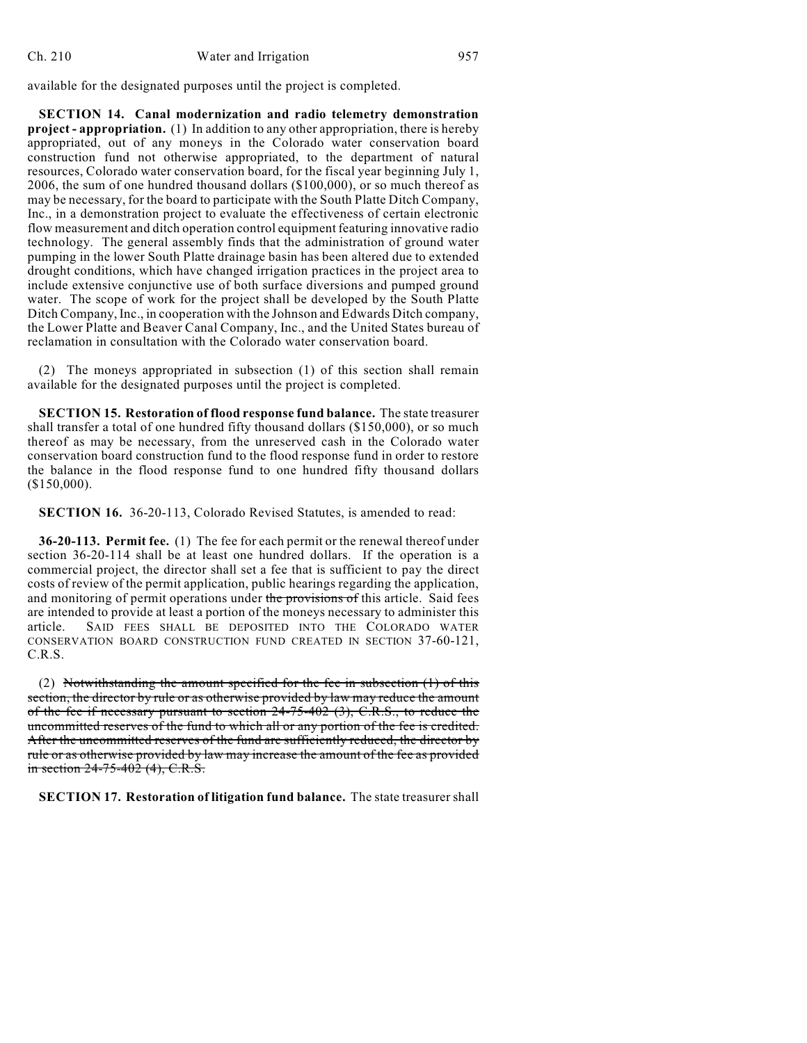available for the designated purposes until the project is completed.

**SECTION 14. Canal modernization and radio telemetry demonstration project - appropriation.** (1) In addition to any other appropriation, there is hereby appropriated, out of any moneys in the Colorado water conservation board construction fund not otherwise appropriated, to the department of natural resources, Colorado water conservation board, for the fiscal year beginning July 1, 2006, the sum of one hundred thousand dollars (\$100,000), or so much thereof as may be necessary, for the board to participate with the South Platte Ditch Company, Inc., in a demonstration project to evaluate the effectiveness of certain electronic flow measurement and ditch operation control equipment featuring innovative radio technology. The general assembly finds that the administration of ground water pumping in the lower South Platte drainage basin has been altered due to extended drought conditions, which have changed irrigation practices in the project area to include extensive conjunctive use of both surface diversions and pumped ground water. The scope of work for the project shall be developed by the South Platte Ditch Company, Inc., in cooperation with the Johnson and Edwards Ditch company, the Lower Platte and Beaver Canal Company, Inc., and the United States bureau of reclamation in consultation with the Colorado water conservation board.

(2) The moneys appropriated in subsection (1) of this section shall remain available for the designated purposes until the project is completed.

**SECTION 15. Restoration of flood response fund balance.** The state treasurer shall transfer a total of one hundred fifty thousand dollars (\$150,000), or so much thereof as may be necessary, from the unreserved cash in the Colorado water conservation board construction fund to the flood response fund in order to restore the balance in the flood response fund to one hundred fifty thousand dollars (\$150,000).

**SECTION 16.** 36-20-113, Colorado Revised Statutes, is amended to read:

**36-20-113. Permit fee.** (1) The fee for each permit or the renewal thereof under section 36-20-114 shall be at least one hundred dollars. If the operation is a commercial project, the director shall set a fee that is sufficient to pay the direct costs of review of the permit application, public hearings regarding the application, and monitoring of permit operations under the provisions of this article. Said fees are intended to provide at least a portion of the moneys necessary to administer this article. SAID FEES SHALL BE DEPOSITED INTO THE COLORADO WATER CONSERVATION BOARD CONSTRUCTION FUND CREATED IN SECTION 37-60-121, C.R.S.

(2) Notwithstanding the amount specified for the fee in subsection (1) of this section, the director by rule or as otherwise provided by law may reduce the amount of the fee if necessary pursuant to section  $24-75-402$  (3), C.R.S., to reduce the uncommitted reserves of the fund to which all or any portion of the fee is credited. After the uncommitted reserves of the fund are sufficiently reduced, the director by rule or as otherwise provided by law may increase the amount of the fee as provided in section 24-75-402 (4), C.R.S.

**SECTION 17. Restoration of litigation fund balance.** The state treasurer shall